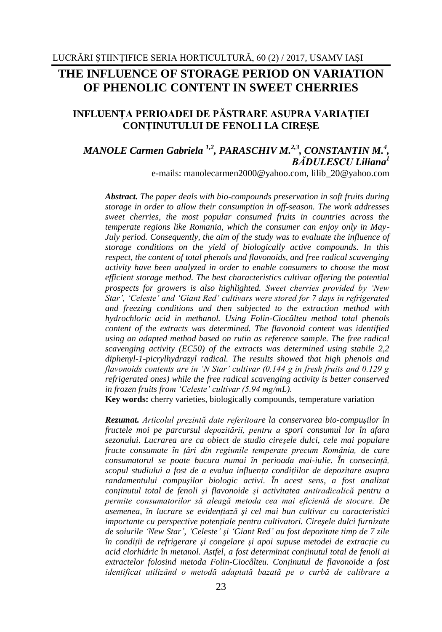# **THE INFLUENCE OF STORAGE PERIOD ON VARIATION OF PHENOLIC CONTENT IN SWEET CHERRIES**

## **INFLUENŢA PERIOADEI DE PĂSTRARE ASUPRA VARIAŢIEI CONŢINUTULUI DE FENOLI LA CIREŞE**

## *MANOLE Carmen Gabriela*<sup>1,2</sup>, *PARASCHIV M.*<sup>2,3</sup>, *CONSTANTIN M.*<sup>4</sup>, *BĂDULESCU Liliana<sup>1</sup>*

e-mails: [manolecarmen2000@yahoo.com,](mailto:manolecarmen2000@yahoo.com) [lilib\\_20@yahoo.com](mailto:lilib_20@yahoo.com)

*Abstract. The paper deals with bio-compounds preservation in soft fruits during storage in order to allow their consumption in off-season. The work addresses sweet cherries, the most popular consumed fruits in countries across the temperate regions like Romania, which the consumer can enjoy only in May-July period. Consequently, the aim of the study was to evaluate the influence of storage conditions on the yield of biologically active compounds. In this respect, the content of total phenols and flavonoids, and free radical scavenging activity have been analyzed in order to enable consumers to choose the most efficient storage method. The best characteristics cultivar offering the potential prospects for growers is also highlighted. Sweet cherries provided by 'New Star', 'Celeste' and 'Giant Red' cultivars were stored for 7 days in refrigerated and freezing conditions and then subjected to the extraction method with hydrochloric acid in methanol. Using Folin-Ciocâlteu method total phenols content of the extracts was determined. The flavonoid content was identified using an adapted method based on rutin as reference sample. The free radical scavenging activity (EC50) of the extracts was determined using stabile 2,2 diphenyl-1-picrylhydrazyl radical. The results showed that high phenols and flavonoids contents are in 'N Star' cultivar (0.144 g in fresh fruits and 0.129 g refrigerated ones) while the free radical scavenging activity is better conserved in frozen fruits from 'Celeste' cultivar (5.94 mg/mL).*

**Key words:** cherry varieties, biologically compounds, temperature variation

*Rezumat. Articolul prezintă date referitoare la conservarea bio-compuşilor în fructele moi pe parcursul depozitării, pentru a spori consumul lor în afara sezonului. Lucrarea are ca obiect de studio cireşele dulci, cele mai populare fructe consumate în ţări din regiunile temperate precum România, de care consumatorul se poate bucura numai în perioada mai-iulie. În consecinţă, scopul studiului a fost de a evalua influenţa condiţiilor de depozitare asupra randamentului compuşilor biologic activi. În acest sens, a fost analizat conţinutul total de fenoli şi flavonoide şi activitatea antiradicalică pentru a permite consumatorilor să aleagă metoda cea mai eficientă de stocare. De asemenea, în lucrare se evidenţiază şi cel mai bun cultivar cu caracteristici importante cu perspective potenţiale pentru cultivatori. Cireşele dulci furnizate de soiurile 'New Star', 'Celeste' şi 'Giant Red' au fost depozitate timp de 7 zile în condiţii de refrigerare şi congelare şi apoi supuse metodei de extracţie cu acid clorhidric în metanol. Astfel, a fost determinat conţinutul total de fenoli ai extractelor folosind metoda Folin-Ciocâlteu. Conţinutul de flavonoide a fost identificat utilizând o metodă adaptată bazată pe o curbă de calibrare a*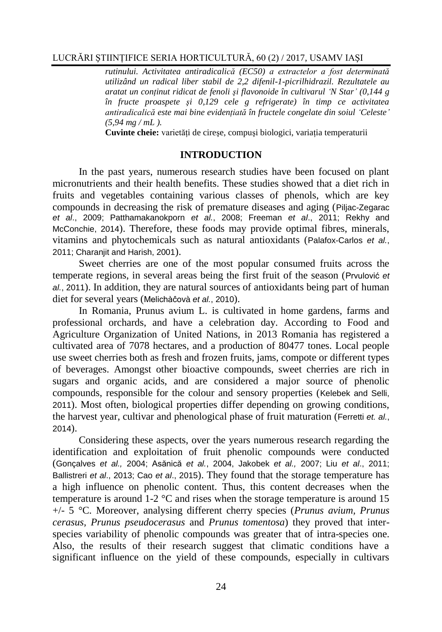*rutinului. Activitatea antiradicalică (EC50) a extractelor a fost determinată utilizând un radical liber stabil de 2,2 difenil-1-picrilhidrazil. Rezultatele au aratat un conţinut ridicat de fenoli şi flavonoide în cultivarul 'N Star' (0,144 g în fructe proaspete şi 0,129 cele g refrigerate) în timp ce activitatea antiradicalică este mai bine evidenţiată în fructele congelate din soiul 'Celeste' (5,94 mg / mL ).*

**Cuvinte cheie:** varietăți de cirese, compusi biologici, variația temperaturii

### **INTRODUCTION**

In the past years, numerous research studies have been focused on plant micronutrients and their health benefits. These studies showed that a diet rich in fruits and vegetables containing various classes of phenols, which are key compounds in decreasing the risk of premature diseases and aging (Piljac-Zegarac *et al*., 2009; Patthamakanokporn *et al.*, 2008; Freeman *et al*., 2011; Rekhy and McConchie, 2014). Therefore, these foods may provide optimal fibres, minerals, vitamins and phytochemicals such as natural antioxidants (Palafox-Carlos *et al.*, 2011; Charanjit and Harish, 2001).

Sweet cherries are one of the most popular consumed fruits across the temperate regions, in several areas being the first fruit of the season (Prvulović *et al.*, 2011). In addition, they are natural sources of antioxidants being part of human diet for several years (Melichàĉovà *et al.*, 2010).

In Romania, Prunus avium L. is cultivated in home gardens, farms and professional orchards, and have a celebration day. According to Food and Agriculture Organization of United Nations, in 2013 Romania has registered a cultivated area of 7078 hectares, and a production of 80477 tones. Local people use sweet cherries both as fresh and frozen fruits, jams, compote or different types of beverages. Amongst other bioactive compounds, sweet cherries are rich in sugars and organic acids, and are considered a major source of phenolic compounds, responsible for the colour and sensory properties (Kelebek and Selli, 2011). Most often, biological properties differ depending on growing conditions, the harvest year, cultivar and phenological phase of fruit maturation (Ferretti *et. al.*, 2014).

Considering these aspects, over the years numerous research regarding the identification and exploitation of fruit phenolic compounds were conducted (Gonçalves *et al.,* 2004; Asănică *et al.*, 2004, Jakobek *et al.,* 2007; Liu *et al*., 2011; Ballistreri *et al*., 2013; Cao *et al*., 2015). They found that the storage temperature has a high influence on phenolic content. Thus, this content decreases when the temperature is around  $1\t{-}2$  °C and rises when the storage temperature is around 15 +/- 5 °C. Moreover, analysing different cherry species (*Prunus avium, Prunus cerasus, Prunus pseudocerasus* and *Prunus tomentosa*) they proved that interspecies variability of phenolic compounds was greater that of intra-species one. Also, the results of their research suggest that climatic conditions have a significant influence on the yield of these compounds, especially in cultivars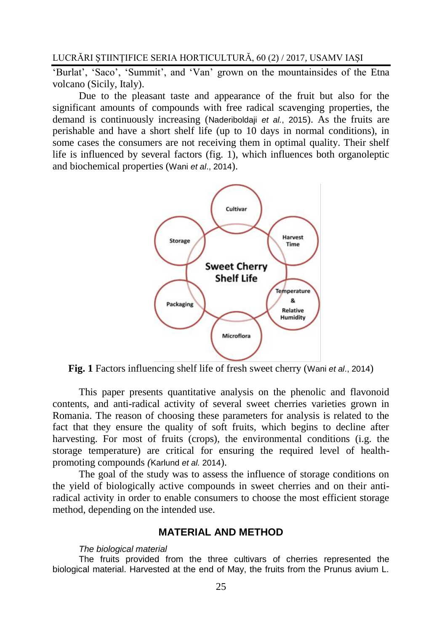'Burlat', 'Saco', 'Summit', and 'Van' grown on the mountainsides of the Etna volcano (Sicily, Italy).

Due to the pleasant taste and appearance of the fruit but also for the significant amounts of compounds with free radical scavenging properties, the demand is continuously increasing (Naderiboldaji *et al.*, 2015). As the fruits are perishable and have a short shelf life (up to 10 days in normal conditions), in some cases the consumers are not receiving them in optimal quality. Their shelf life is influenced by several factors (fig. 1), which influences both organoleptic and biochemical properties (Wani *et al*., 2014).



**Fig. 1** Factors influencing shelf life of fresh sweet cherry (Wani *et al*., 2014)

This paper presents quantitative analysis on the phenolic and flavonoid contents, and anti-radical activity of several sweet cherries varieties grown in Romania. The reason of choosing these parameters for analysis is related to the fact that they ensure the quality of soft fruits, which begins to decline after harvesting. For most of fruits (crops), the environmental conditions (i.g. the storage temperature) are critical for ensuring the required level of healthpromoting compounds *(*Karlund *et al.* 2014).

The goal of the study was to assess the influence of storage conditions on the yield of biologically active compounds in sweet cherries and on their antiradical activity in order to enable consumers to choose the most efficient storage method, depending on the intended use.

## **MATERIAL AND METHOD**

#### *The biological material*

The fruits provided from the three cultivars of cherries represented the biological material. Harvested at the end of May, the fruits from the Prunus avium L.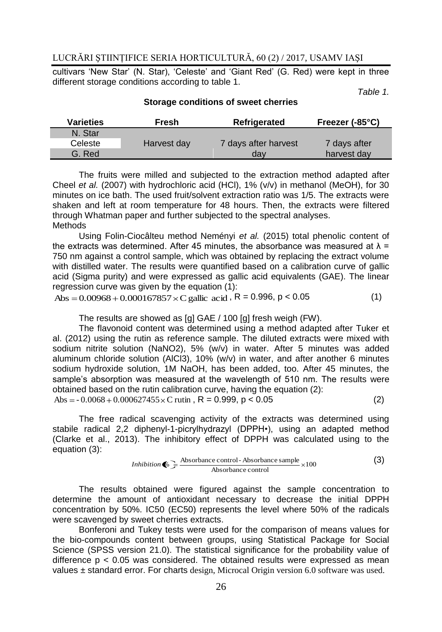cultivars 'New Star' (N. Star), 'Celeste' and 'Giant Red' (G. Red) were kept in three different storage conditions according to table 1.

*Table 1.*

| <b>Varieties</b> | Fresh       | Refrigerated         | Freezer $(-85^{\circ}C)$ |
|------------------|-------------|----------------------|--------------------------|
| N. Star          |             |                      |                          |
| Celeste          | Harvest day | 7 days after harvest | 7 days after             |
| G. Red           |             | dav                  | harvest day              |
|                  |             |                      |                          |

#### **Storage conditions of sweet cherries**

The fruits were milled and subjected to the extraction method adapted after Cheel *et al.* (2007) with hydrochloric acid (HCl), 1% (v/v) in methanol (MeOH), for 30 minutes on ice bath. The used fruit/solvent extraction ratio was 1/5. The extracts were shaken and left at room temperature for 48 hours. Then, the extracts were filtered through Whatman paper and further subjected to the spectral analyses. **Methods** 

Using Folin-Ciocâlteu method Neményi *et al.* (2015) total phenolic content of the extracts was determined. After 45 minutes, the absorbance was measured at  $\lambda =$ 750 nm against a control sample, which was obtained by replacing the extract volume with distilled water. The results were quantified based on a calibration curve of gallic acid (Sigma purity) and were expressed as gallic acid equivalents (GAE). The linear regression curve was given by the equation (1):

 $\text{Abs} = 0.00968 + 0.000167857 \times \text{C} \text{ gallic } \text{acid}$ ,  $\text{R} = 0.996$ ,  $p < 0.05$  (1)

The results are showed as [g] GAE / 100 [g] fresh weigh (FW).

The flavonoid content was determined using a method adapted after Tuker et al. (2012) using the rutin as reference sample. The diluted extracts were mixed with sodium nitrite solution (NaNO2), 5% (w/v) in water. After 5 minutes was added aluminum chloride solution (AlCl3), 10% (w/v) in water, and after another 6 minutes sodium hydroxide solution, 1M NaOH, has been added, too. After 45 minutes, the sample's absorption was measured at the wavelength of 510 nm. The results were obtained based on the rutin calibration curve, having the equation (2):  $\text{Abs} = -0.0068 + 0.000627455 \times \text{C}$  rutin , R = 0.999, p < 0.05 (2)

The free radical scavenging activity of the extracts was determined using stabile radical 2,2 diphenyl-1-picrylhydrazyl (DPPH•), using an adapted method (Clarke et al., 2013). The inhibitory effect of DPPH was calculated using to the equation (3):

*Inhibition* 
$$
\bigcirc
$$
  $\frac{\longrightarrow}{\longrightarrow}$   $\frac{\longrightarrow}{\longrightarrow}$   $\frac{\longrightarrow}{\longrightarrow}$   $\frac{\longrightarrow}{\longrightarrow}$   $\frac{\longrightarrow}{\longrightarrow}$   $\frac{\longrightarrow}{\longrightarrow}$   $\frac{\longrightarrow}{\longrightarrow}$   $\frac{\longrightarrow}{\longrightarrow}$   $\frac{\longrightarrow}{\longrightarrow}$   $\frac{\longrightarrow}{\longrightarrow}$   $\frac{\longrightarrow}{\longrightarrow}$   $\frac{\longrightarrow}{\longrightarrow}$   $\frac{\longrightarrow}{\longrightarrow}$   $\frac{\longrightarrow}{\longrightarrow}$   $\frac{\longrightarrow}{\longrightarrow}$   $\frac{\longrightarrow}{\longrightarrow}$   $\frac{\longrightarrow}{\longrightarrow}$   $\frac{\longrightarrow}{\longrightarrow}$   $\frac{\longrightarrow}{\longrightarrow}$   $\frac{\longrightarrow}{\longrightarrow}$   $\frac{\longrightarrow}{\longrightarrow}$   $\frac{\longrightarrow}{\longrightarrow}$   $\frac{\longrightarrow}{\longrightarrow}$   $\frac{\longrightarrow}{\longrightarrow}$   $\frac{\longrightarrow}{\longrightarrow}$   $\frac{\longrightarrow}{\longrightarrow}$   $\frac{\longrightarrow}{\longrightarrow}$   $\frac{\longrightarrow}{\longrightarrow}$   $\frac{\longrightarrow}{\longrightarrow}$   $\frac{\longrightarrow}{\longrightarrow}$   $\frac{\longrightarrow}{\longrightarrow}$   $\frac{\longrightarrow}{\longrightarrow}$   $\frac{\longrightarrow}{\longrightarrow}$   $\frac{\longrightarrow}{\longrightarrow}$   $\frac{\longrightarrow}{\longrightarrow}$   $\frac{\longrightarrow}{\longrightarrow}$   $\frac{\longrightarrow}{\longrightarrow}$   $\frac{\longrightarrow}{\longrightarrow}$   $\frac{\longrightarrow}{\longrightarrow}$   $\frac{\longrightarrow}{\longrightarrow}$   $\frac{\longrightarrow}{\longrightarrow}$   $\frac{\longrightarrow}{\longrightarrow}$   $\frac{\longrightarrow}{\longrightarrow}$   $\frac{\longrightarrow}{\longrightarrow}$   $\frac{\longrightarrow}{\longrightarrow}$   $\frac{\longrightarrow}{\longrightarrow}$   $\frac{\longrightarrow}{\longrightarrow}$   $\frac{\longrightarrow}{\longrightarrow}$   $\frac{\longrightarrow}{\longrightarrow}$   $\frac{\longrightarrow}{\longrightarrow}$   $\frac{\longrightarrow}{\longrightarrow}$   $\frac{\longrightarrow}{\longrightarrow}$   $\frac{\longrightarrow}{\longrightarrow}$   $\frac{\longrightarrow}{\longrightarrow}$   $\frac{\longrightarrow}{\longrightarrow}$   $\frac{\longrightarrow}{\longrightarrow}$   $\frac{\longrightarrow}{\longrightarrow}$   $\frac{\longrightarrow}{\longrightarrow}$   $\frac{\longrightarrow}{\longrightarrow}$   $\frac{\longrightarrow}{\longrightarrow}$   $\frac{\longrightarrow}{\longrightarrow}$   $\frac{\longrightarrow}{\longrightarrow}$   $\frac{\longrightarrow}{$ 

The results obtained were figured against the sample concentration to determine the amount of antioxidant necessary to decrease the initial DPPH concentration by 50%. IC50 (EC50) represents the level where 50% of the radicals were scavenged by sweet cherries extracts.

Bonferoni and Tukey tests were used for the comparison of means values for the bio-compounds content between groups, using Statistical Package for Social Science (SPSS version 21.0). The statistical significance for the probability value of difference  $p < 0.05$  was considered. The obtained results were expressed as mean values ± standard error. For charts design, Microcal Origin version 6.0 software was used.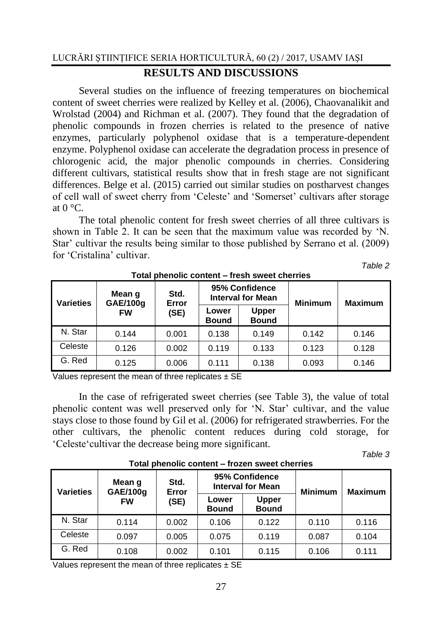## **RESULTS AND DISCUSSIONS**

Several studies on the influence of freezing temperatures on biochemical content of sweet cherries were realized by Kelley et al. (2006), Chaovanalikit and Wrolstad (2004) and Richman et al. (2007). They found that the degradation of phenolic compounds in frozen cherries is related to the presence of native enzymes, particularly polyphenol oxidase that is a temperature-dependent enzyme. Polyphenol oxidase can accelerate the degradation process in presence of chlorogenic acid, the major phenolic compounds in cherries. Considering different cultivars, statistical results show that in fresh stage are not significant differences. Belge et al. (2015) carried out similar studies on postharvest changes of cell wall of sweet cherry from 'Celeste' and 'Somerset' cultivars after storage at  $0^{\circ}$ C.

The total phenolic content for fresh sweet cherries of all three cultivars is shown in Table 2. It can be seen that the maximum value was recorded by 'N. Star' cultivar the results being similar to those published by Serrano et al. (2009) for 'Cristalina' cultivar.

*Table 2*

| <b>Varieties</b> | Mean g<br>GAE/100g | Std.<br>Error |                       | 95% Confidence<br><b>Interval for Mean</b> | <b>Minimum</b> | <b>Maximum</b> |
|------------------|--------------------|---------------|-----------------------|--------------------------------------------|----------------|----------------|
|                  | <b>FW</b>          | (SE)          | Lower<br><b>Bound</b> | <b>Upper</b><br><b>Bound</b>               |                |                |
| N. Star          | 0.144              | 0.001         | 0.138                 | 0.149                                      | 0.142          | 0.146          |
| Celeste          | 0.126              | 0.002         | 0.119                 | 0.133                                      | 0.123          | 0.128          |
| G. Red           | 0.125              | 0.006         | 0.111                 | 0.138                                      | 0.093          | 0.146          |

## **Total phenolic content – fresh sweet cherries**

Values represent the mean of three replicates  $\pm$  SE

In the case of refrigerated sweet cherries (see Table 3), the value of total phenolic content was well preserved only for 'N. Star' cultivar, and the value stays close to those found by Gil et al. (2006) for refrigerated strawberries. For the other cultivars, the phenolic content reduces during cold storage, for 'Celeste'cultivar the decrease being more significant.

*Table 3*

| <b>TURN DIRECTIONS CONTRIT – ITUZEN SWEET CHEMICS</b> |                    |                       |                       |                                            |                |                |  |  |
|-------------------------------------------------------|--------------------|-----------------------|-----------------------|--------------------------------------------|----------------|----------------|--|--|
| <b>Varieties</b>                                      | Mean g<br>GAE/100g | Std.<br>Error<br>(SE) |                       | 95% Confidence<br><b>Interval for Mean</b> | <b>Minimum</b> | <b>Maximum</b> |  |  |
|                                                       | <b>FW</b>          |                       | Lower<br><b>Bound</b> | <b>Upper</b><br><b>Bound</b>               |                |                |  |  |
| N. Star                                               | 0.114              | 0.002                 | 0.106                 | 0.122                                      | 0.110          | 0.116          |  |  |
| Celeste                                               | 0.097              | 0.005                 | 0.075                 | 0.119                                      | 0.087          | 0.104          |  |  |
| G. Red                                                | 0.108              | 0.002                 | 0.101                 | 0.115                                      | 0.106          | 0.111          |  |  |

**Total phenolic content – frozen sweet cherries**

Values represent the mean of three replicates  $\pm$  SE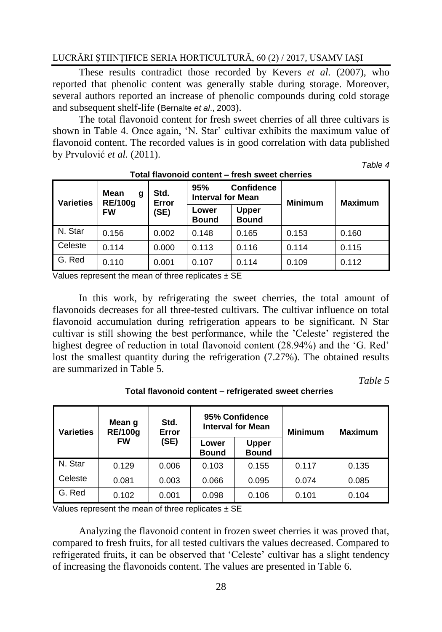These results contradict those recorded by Kevers *et al.* (2007), who reported that phenolic content was generally stable during storage. Moreover, several authors reported an increase of phenolic compounds during cold storage and subsequent shelf-life (Bernalte *et al*., 2003).

The total flavonoid content for fresh sweet cherries of all three cultivars is shown in Table 4. Once again, 'N. Star' cultivar exhibits the maximum value of flavonoid content. The recorded values is in good correlation with data published by Prvulović *et al.* (2011).

*Table 4*

| <b>Varieties</b> | <b>Mean</b><br>g<br><b>RE/100g</b><br><b>FW</b> | Std.<br>Error<br>(SE) | 95%<br><b>Interval for Mean</b> | <b>Confidence</b>            | <b>Minimum</b> | <b>Maximum</b> |
|------------------|-------------------------------------------------|-----------------------|---------------------------------|------------------------------|----------------|----------------|
|                  |                                                 |                       | Lower<br><b>Bound</b>           | <b>Upper</b><br><b>Bound</b> |                |                |
| N. Star          | 0.156                                           | 0.002                 | 0.148                           | 0.165                        | 0.153          | 0.160          |
| Celeste          | 0.114                                           | 0.000                 | 0.113                           | 0.116                        | 0.114          | 0.115          |
| G. Red           | 0.110                                           | 0.001                 | 0.107                           | 0.114                        | 0.109          | 0.112          |

#### **Total flavonoid content – fresh sweet cherries**

Values represent the mean of three replicates  $\pm$  SE

In this work, by refrigerating the sweet cherries, the total amount of flavonoids decreases for all three-tested cultivars. The cultivar influence on total flavonoid accumulation during refrigeration appears to be significant. N Star cultivar is still showing the best performance, while the 'Celeste' registered the highest degree of reduction in total flavonoid content (28.94%) and the 'G. Red' lost the smallest quantity during the refrigeration (7.27%). The obtained results are summarized in Table 5.

*Table 5*

| <b>Varieties</b> | Mean g<br><b>RE/100g</b><br><b>FW</b> | Std.<br>Error<br>(SE) |                       | 95% Confidence<br><b>Interval for Mean</b> | <b>Minimum</b> | <b>Maximum</b> |
|------------------|---------------------------------------|-----------------------|-----------------------|--------------------------------------------|----------------|----------------|
|                  |                                       |                       | Lower<br><b>Bound</b> | Upper<br><b>Bound</b>                      |                |                |
| N. Star          | 0.129                                 | 0.006                 | 0.103                 | 0.155                                      | 0.117          | 0.135          |
| Celeste          | 0.081                                 | 0.003                 | 0.066                 | 0.095                                      | 0.074          | 0.085          |
| G. Red           | 0.102                                 | 0.001                 | 0.098                 | 0.106                                      | 0.101          | 0.104          |

**Total flavonoid content – refrigerated sweet cherries**

Values represent the mean of three replicates  $\pm$  SE

Analyzing the flavonoid content in frozen sweet cherries it was proved that, compared to fresh fruits, for all tested cultivars the values decreased. Compared to refrigerated fruits, it can be observed that 'Celeste' cultivar has a slight tendency of increasing the flavonoids content. The values are presented in Table 6.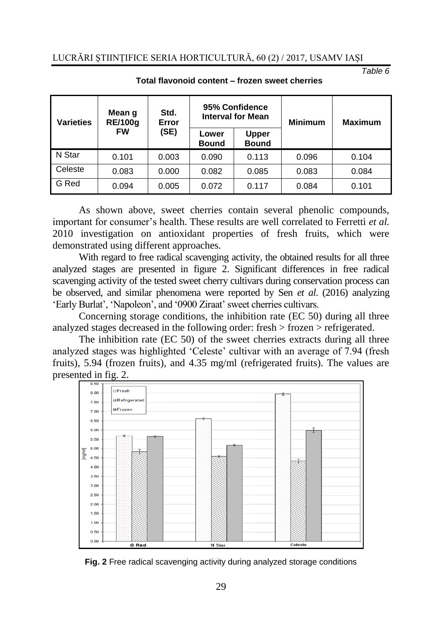*Table 6*

| <b>Varieties</b> | Mean g<br><b>RE/100g</b> | Std.<br>Error | 95% Confidence<br><b>Interval for Mean</b> |                              | <b>Minimum</b> | <b>Maximum</b> |
|------------------|--------------------------|---------------|--------------------------------------------|------------------------------|----------------|----------------|
|                  | <b>FW</b>                | (SE)          | Lower<br><b>Bound</b>                      | <b>Upper</b><br><b>Bound</b> |                |                |
| N Star           | 0.101                    | 0.003         | 0.090                                      | 0.113                        | 0.096          | 0.104          |
| Celeste          | 0.083                    | 0.000         | 0.082                                      | 0.085                        | 0.083          | 0.084          |
| G Red            | 0.094                    | 0.005         | 0.072                                      | 0.117                        | 0.084          | 0.101          |

#### **Total flavonoid content – frozen sweet cherries**

As shown above, sweet cherries contain several phenolic compounds, important for consumer's health. These results are well correlated to Ferretti *et al.* 2010 investigation on antioxidant properties of fresh fruits, which were demonstrated using different approaches.

With regard to free radical scavenging activity, the obtained results for all three analyzed stages are presented in figure 2. Significant differences in free radical scavenging activity of the tested sweet cherry cultivars during conservation process can be observed, and similar phenomena were reported by Sen *et al*. (2016) analyzing 'Early Burlat', 'Napoleon', and '0900 Ziraat' sweet cherries cultivars.

Concerning storage conditions, the inhibition rate (EC 50) during all three analyzed stages decreased in the following order: fresh > frozen > refrigerated.

The inhibition rate (EC 50) of the sweet cherries extracts during all three analyzed stages was highlighted 'Celeste' cultivar with an average of 7.94 (fresh fruits), 5.94 (frozen fruits), and 4.35 mg/ml (refrigerated fruits). The values are presented in fig. 2.



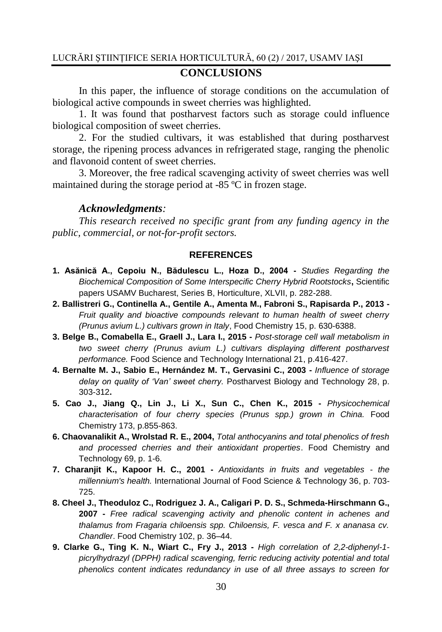## **CONCLUSIONS**

In this paper, the influence of storage conditions on the accumulation of biological active compounds in sweet cherries was highlighted.

1. It was found that postharvest factors such as storage could influence biological composition of sweet cherries.

2. For the studied cultivars, it was established that during postharvest storage, the ripening process advances in refrigerated stage, ranging the phenolic and flavonoid content of sweet cherries.

3. Moreover, the free radical scavenging activity of sweet cherries was well maintained during the storage period at -85 ºC in frozen stage.

### *Acknowledgments:*

*This research received no specific grant from any funding agency in the public, commercial, or not-for-profit sectors.*

## **REFERENCES**

- **1. Asănică A., Cepoiu N., Bădulescu L., Hoza D., 2004 -** *Studies Regarding the Biochemical Composition of Some Interspecific Cherry Hybrid Rootstocks***,** Scientific papers USAMV Bucharest, Series B, Horticulture, XLVII, p. 282-288.
- **2. Ballistreri G., Continella A., Gentile A., Amenta M., Fabroni S., Rapisarda P., 2013 -** *Fruit quality and bioactive compounds relevant to human health of sweet cherry (Prunus avium L.) cultivars grown in Italy*, Food Chemistry 15, p. 630-6388.
- **3. Belge B., Comabella E., Graell J., Lara I., 2015 -** *Post-storage cell wall metabolism in two sweet cherry (Prunus avium L.) cultivars displaying different postharvest performance.* Food Science and Technology International 21, p.416-427.
- **4. Bernalte M. J., Sabio E., Hernández M. T., Gervasini C., 2003 -** *Influence of storage delay on quality of 'Van' sweet cherry.* Postharvest Biology and Technology 28, p. 303-312**.**
- **5. Cao J., Jiang Q., Lin J., Li X., Sun C., Chen K., 2015 -** *Physicochemical characterisation of four cherry species (Prunus spp.) grown in China.* Food Chemistry 173, p.855-863.
- **6. Chaovanalikit A., Wrolstad R. E., 2004,** *Total anthocyanins and total phenolics of fresh and processed cherries and their antioxidant properties*. Food Chemistry and Technology 69, p. 1-6.
- **7. Charanjit K., Kapoor H. C., 2001 -** *Antioxidants in fruits and vegetables - the millennium's health.* International Journal of Food Science & Technology 36, p. 703- 725.
- **8. Cheel J., Theoduloz C., Rodriguez J. A., Caligari P. D. S., Schmeda-Hirschmann G., 2007 -** *Free radical scavenging activity and phenolic content in achenes and thalamus from Fragaria chiloensis spp. Chiloensis, F. vesca and F. x ananasa cv. Chandler*. Food Chemistry 102, p. 36–44.
- **9. Clarke G., Ting K. N., Wiart C., Fry J., 2013 -** *High correlation of 2,2-diphenyl-1 picrylhydrazyl (DPPH) radical scavenging, ferric reducing activity potential and total phenolics content indicates redundancy in use of all three assays to screen for*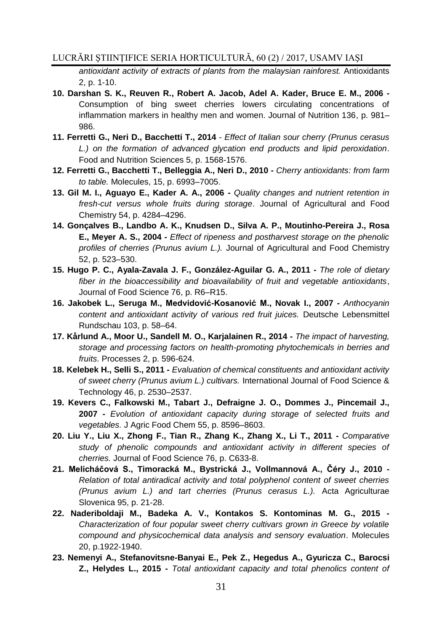*antioxidant activity of extracts of plants from the malaysian rainforest.* Antioxidants 2, p. 1-10.

- **10. Darshan S. K., Reuven R., Robert A. Jacob, Adel A. Kader, Bruce E. M., 2006 -** Consumption of bing sweet cherries lowers circulating concentrations of inflammation markers in healthy men and women. Journal of Nutrition 136, p. 981– 986.
- **11. Ferretti G., Neri D., Bacchetti T., 2014** *Effect of Italian sour cherry (Prunus cerasus L.) on the formation of advanced glycation end products and lipid peroxidation*. Food and Nutrition Sciences 5, p. 1568-1576.
- **12. Ferretti G., Bacchetti T., Belleggia A., Neri D., 2010 -** *Cherry antioxidants: from farm to table.* Molecules, 15, p. 6993–7005.
- **13. Gil M. I., Aguayo E., Kader A. A., 2006 -** *Quality changes and nutrient retention in fresh-cut versus whole fruits during storage*. Journal of Agricultural and Food Chemistry 54, p. 4284–4296.
- **14. Gonçalves B., Landbo A. K., Knudsen D., Silva A. P., Moutinho-Pereira J., Rosa E., Meyer A. S., 2004 -** *Effect of ripeness and postharvest storage on the phenolic profiles of cherries (Prunus avium L.).* Journal of Agricultural and Food Chemistry 52, p. 523–530.
- **15. Hugo P. C., Ayala-Zavala J. F., González-Aguilar G. A., 2011 -** *The role of dietary fiber in the bioaccessibility and bioavailability of fruit and vegetable antioxidants*, Journal of Food Science 76, p. R6–R15.
- **16. Jakobek L., Seruga M., Medvidović-Kosanović M., Novak I., 2007 -** *Anthocyanin content and antioxidant activity of various red fruit juices.* Deutsche Lebensmittel Rundschau 103, p. 58–64.
- **17. Kårlund A., Moor U., Sandell M. O., Karjalainen R., 2014 -** *The impact of harvesting, storage and processing factors on health-promoting phytochemicals in berries and fruits*. Processes 2, p. 596-624.
- **18. Kelebek H., Selli S., 2011 -** *Evaluation of chemical constituents and antioxidant activity of sweet cherry (Prunus avium L.) cultivars.* International Journal of Food Science & Technology 46, p. 2530–2537.
- **19. Kevers C., Falkowski M., Tabart J., Defraigne J. O., Dommes J., Pincemail J., 2007 -** *Evolution of antioxidant capacity during storage of selected fruits and vegetables.* J Agric Food Chem 55, p. 8596–8603.
- **20. Liu Y., Liu X., Zhong F., Tian R., Zhang K., Zhang X., Li T., 2011 -** *Comparative study of phenolic compounds and antioxidant activity in different species of cherries.* Journal of Food Science 76, p. C633-8.
- **21. Melicháčová S., Timoracká M., Bystrická J., Vollmannová A., Čéry J., 2010 -** *Relation of total antiradical activity and total polyphenol content of sweet cherries (Prunus avium L.) and tart cherries (Prunus cerasus L.).* Acta Agriculturae Slovenica 95, p. 21-28.
- **22. Naderiboldaji M., Badeka A. V., Kontakos S. Kontominas M. G., 2015 -** *Characterization of four popular sweet cherry cultivars grown in Greece by volatile compound and physicochemical data analysis and sensory evaluation*. Molecules 20, p.1922-1940.
- **23. Nemenyi A., Stefanovitsne-Banyai E., Pek Z., Hegedus A., Gyuricza C., Barocsi Z., Helydes L., 2015 -** *Total antioxidant capacity and total phenolics content of*